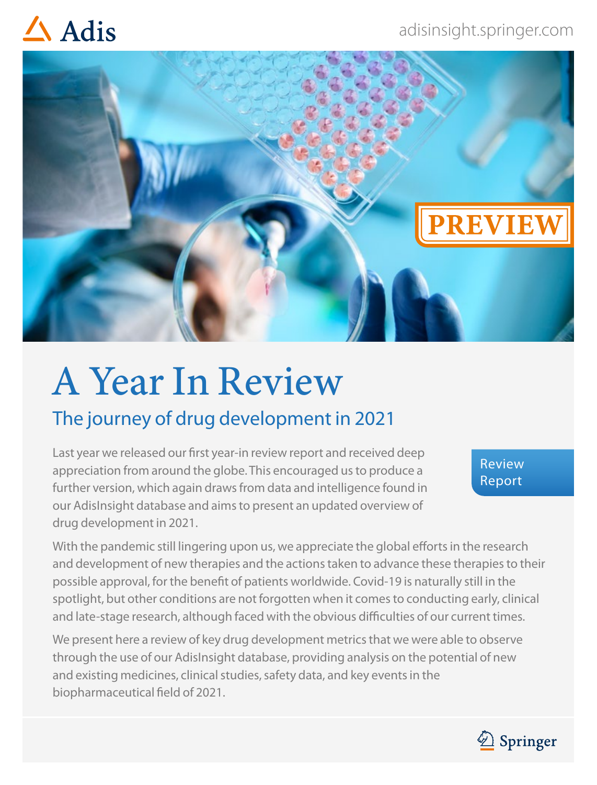## $\triangle$  Adis



# A Year In Review

### The journey of drug development in 2021

Last year we released our first year-in review report and received deep appreciation from around the globe. This encouraged us to produce a further version, which again draws from data and intelligence found in our AdisInsight database and aims to present an updated overview of drug development in 2021.

Review Report

With the pandemic still lingering upon us, we appreciate the global efforts in the research and development of new therapies and the actions taken to advance these therapies to their possible approval, for the benefit of patients worldwide. Covid-19 is naturally still in the spotlight, but other conditions are not forgotten when it comes to conducting early, clinical and late-stage research, although faced with the obvious difficulties of our current times.

We present here a review of key drug development metrics that we were able to observe through the use of our AdisInsight database, providing analysis on the potential of new and existing medicines, clinical studies, safety data, and key events in the biopharmaceutical field of 2021.

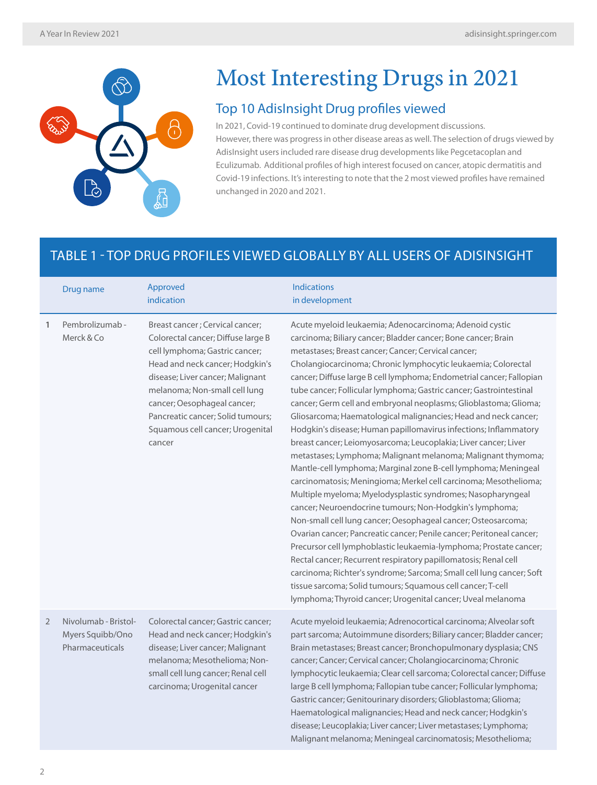

## Most Interesting Drugs in 2021

#### Top 10 AdisInsight Drug profiles viewed

In 2021, Covid-19 continued to dominate drug development discussions. However, there was progress in other disease areas as well. The selection of drugs viewed by AdisInsight users included rare disease drug developments like Pegcetacoplan and Eculizumab. Additional profiles of high interest focused on cancer, atopic dermatitis and Covid-19 infections. It's interesting to note that the 2 most viewed profiles have remained unchanged in 2020 and 2021.

Malignant melanoma; Meningeal carcinomatosis; Mesothelioma;

#### TABLE 1 - TOP DRUG PROFILES VIEWED GLOBALLY BY ALL USERS OF ADISINSIGHT

|                | Drug name                                                   | Approved<br>indication                                                                                                                                                                                                                                                                                                            | <b>Indications</b><br>in development                                                                                                                                                                                                                                                                                                                                                                                                                                                                                                                                                                                                                                                                                                                                                                                                                                                                                                                                                                                                                                                                                                                                                                                                                                                                                                                                                                                                                                                                |
|----------------|-------------------------------------------------------------|-----------------------------------------------------------------------------------------------------------------------------------------------------------------------------------------------------------------------------------------------------------------------------------------------------------------------------------|-----------------------------------------------------------------------------------------------------------------------------------------------------------------------------------------------------------------------------------------------------------------------------------------------------------------------------------------------------------------------------------------------------------------------------------------------------------------------------------------------------------------------------------------------------------------------------------------------------------------------------------------------------------------------------------------------------------------------------------------------------------------------------------------------------------------------------------------------------------------------------------------------------------------------------------------------------------------------------------------------------------------------------------------------------------------------------------------------------------------------------------------------------------------------------------------------------------------------------------------------------------------------------------------------------------------------------------------------------------------------------------------------------------------------------------------------------------------------------------------------------|
| $\mathbf{1}$   | Pembrolizumab-<br>Merck & Co                                | Breast cancer; Cervical cancer;<br>Colorectal cancer; Diffuse large B<br>cell lymphoma; Gastric cancer;<br>Head and neck cancer; Hodgkin's<br>disease; Liver cancer; Malignant<br>melanoma; Non-small cell lung<br>cancer; Oesophageal cancer;<br>Pancreatic cancer; Solid tumours;<br>Squamous cell cancer; Urogenital<br>cancer | Acute myeloid leukaemia; Adenocarcinoma; Adenoid cystic<br>carcinoma; Biliary cancer; Bladder cancer; Bone cancer; Brain<br>metastases; Breast cancer; Cancer; Cervical cancer;<br>Cholangiocarcinoma; Chronic lymphocytic leukaemia; Colorectal<br>cancer; Diffuse large B cell lymphoma; Endometrial cancer; Fallopian<br>tube cancer; Follicular lymphoma; Gastric cancer; Gastrointestinal<br>cancer; Germ cell and embryonal neoplasms; Glioblastoma; Glioma;<br>Gliosarcoma; Haematological malignancies; Head and neck cancer;<br>Hodgkin's disease; Human papillomavirus infections; Inflammatory<br>breast cancer; Leiomyosarcoma; Leucoplakia; Liver cancer; Liver<br>metastases; Lymphoma; Malignant melanoma; Malignant thymoma;<br>Mantle-cell lymphoma; Marginal zone B-cell lymphoma; Meningeal<br>carcinomatosis; Meningioma; Merkel cell carcinoma; Mesothelioma;<br>Multiple myeloma; Myelodysplastic syndromes; Nasopharyngeal<br>cancer; Neuroendocrine tumours; Non-Hodgkin's lymphoma;<br>Non-small cell lung cancer; Oesophageal cancer; Osteosarcoma;<br>Ovarian cancer; Pancreatic cancer; Penile cancer; Peritoneal cancer;<br>Precursor cell lymphoblastic leukaemia-lymphoma; Prostate cancer;<br>Rectal cancer; Recurrent respiratory papillomatosis; Renal cell<br>carcinoma; Richter's syndrome; Sarcoma; Small cell lung cancer; Soft<br>tissue sarcoma; Solid tumours; Squamous cell cancer; T-cell<br>lymphoma; Thyroid cancer; Urogenital cancer; Uveal melanoma |
| $\overline{2}$ | Nivolumab - Bristol-<br>Myers Squibb/Ono<br>Pharmaceuticals | Colorectal cancer; Gastric cancer;<br>Head and neck cancer; Hodgkin's<br>disease; Liver cancer; Malignant<br>melanoma; Mesothelioma; Non-<br>small cell lung cancer; Renal cell<br>carcinoma; Urogenital cancer                                                                                                                   | Acute myeloid leukaemia; Adrenocortical carcinoma; Alveolar soft<br>part sarcoma; Autoimmune disorders; Biliary cancer; Bladder cancer;<br>Brain metastases; Breast cancer; Bronchopulmonary dysplasia; CNS<br>cancer; Cancer; Cervical cancer; Cholangiocarcinoma; Chronic<br>lymphocytic leukaemia; Clear cell sarcoma; Colorectal cancer; Diffuse<br>large B cell lymphoma; Fallopian tube cancer; Follicular lymphoma;<br>Gastric cancer; Genitourinary disorders; Glioblastoma; Glioma;<br>Haematological malignancies; Head and neck cancer; Hodgkin's<br>disease; Leucoplakia; Liver cancer; Liver metastases; Lymphoma;                                                                                                                                                                                                                                                                                                                                                                                                                                                                                                                                                                                                                                                                                                                                                                                                                                                                     |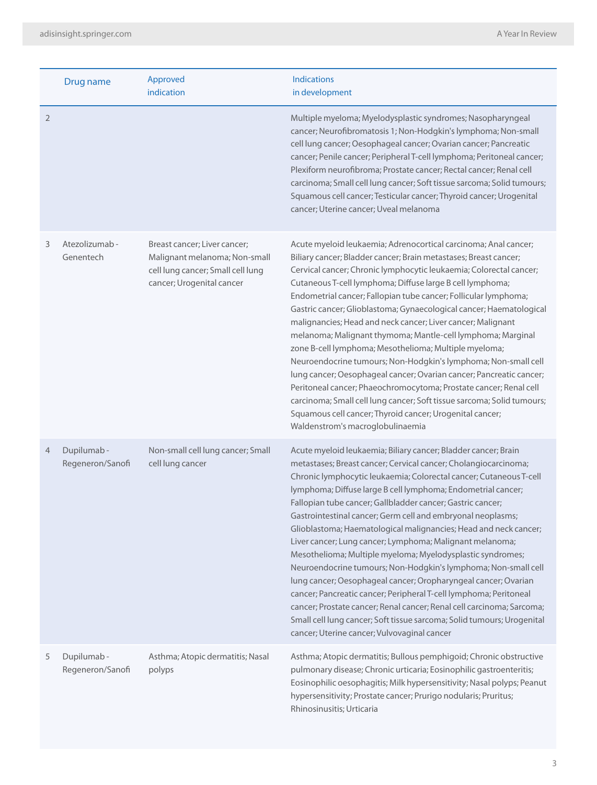|                | Drug name                      | Approved<br>indication                                                                                                          | <b>Indications</b><br>in development                                                                                                                                                                                                                                                                                                                                                                                                                                                                                                                                                                                                                                                                                                                                                                                                                                                                                                                                                                          |
|----------------|--------------------------------|---------------------------------------------------------------------------------------------------------------------------------|---------------------------------------------------------------------------------------------------------------------------------------------------------------------------------------------------------------------------------------------------------------------------------------------------------------------------------------------------------------------------------------------------------------------------------------------------------------------------------------------------------------------------------------------------------------------------------------------------------------------------------------------------------------------------------------------------------------------------------------------------------------------------------------------------------------------------------------------------------------------------------------------------------------------------------------------------------------------------------------------------------------|
| $\overline{2}$ |                                |                                                                                                                                 | Multiple myeloma; Myelodysplastic syndromes; Nasopharyngeal<br>cancer; Neurofibromatosis 1; Non-Hodgkin's lymphoma; Non-small<br>cell lung cancer; Oesophageal cancer; Ovarian cancer; Pancreatic<br>cancer; Penile cancer; Peripheral T-cell lymphoma; Peritoneal cancer;<br>Plexiform neurofibroma; Prostate cancer; Rectal cancer; Renal cell<br>carcinoma; Small cell lung cancer; Soft tissue sarcoma; Solid tumours;<br>Squamous cell cancer; Testicular cancer; Thyroid cancer; Urogenital<br>cancer; Uterine cancer; Uveal melanoma                                                                                                                                                                                                                                                                                                                                                                                                                                                                   |
| 3              | Atezolizumab -<br>Genentech    | Breast cancer; Liver cancer;<br>Malignant melanoma; Non-small<br>cell lung cancer; Small cell lung<br>cancer; Urogenital cancer | Acute myeloid leukaemia; Adrenocortical carcinoma; Anal cancer;<br>Biliary cancer; Bladder cancer; Brain metastases; Breast cancer;<br>Cervical cancer; Chronic lymphocytic leukaemia; Colorectal cancer;<br>Cutaneous T-cell lymphoma; Diffuse large B cell lymphoma;<br>Endometrial cancer; Fallopian tube cancer; Follicular lymphoma;<br>Gastric cancer; Glioblastoma; Gynaecological cancer; Haematological<br>malignancies; Head and neck cancer; Liver cancer; Malignant<br>melanoma; Malignant thymoma; Mantle-cell lymphoma; Marginal<br>zone B-cell lymphoma; Mesothelioma; Multiple myeloma;<br>Neuroendocrine tumours; Non-Hodgkin's lymphoma; Non-small cell<br>lung cancer; Oesophageal cancer; Ovarian cancer; Pancreatic cancer;<br>Peritoneal cancer; Phaeochromocytoma; Prostate cancer; Renal cell<br>carcinoma; Small cell lung cancer; Soft tissue sarcoma; Solid tumours;<br>Squamous cell cancer; Thyroid cancer; Urogenital cancer;<br>Waldenstrom's macroglobulinaemia               |
| 4              | Dupilumab-<br>Regeneron/Sanofi | Non-small cell lung cancer; Small<br>cell lung cancer                                                                           | Acute myeloid leukaemia; Biliary cancer; Bladder cancer; Brain<br>metastases; Breast cancer; Cervical cancer; Cholangiocarcinoma;<br>Chronic lymphocytic leukaemia; Colorectal cancer; Cutaneous T-cell<br>lymphoma; Diffuse large B cell lymphoma; Endometrial cancer;<br>Fallopian tube cancer; Gallbladder cancer; Gastric cancer;<br>Gastrointestinal cancer; Germ cell and embryonal neoplasms;<br>Glioblastoma; Haematological malignancies; Head and neck cancer;<br>Liver cancer; Lung cancer; Lymphoma; Malignant melanoma;<br>Mesothelioma; Multiple myeloma; Myelodysplastic syndromes;<br>Neuroendocrine tumours; Non-Hodgkin's lymphoma; Non-small cell<br>lung cancer; Oesophageal cancer; Oropharyngeal cancer; Ovarian<br>cancer; Pancreatic cancer; Peripheral T-cell lymphoma; Peritoneal<br>cancer; Prostate cancer; Renal cancer; Renal cell carcinoma; Sarcoma;<br>Small cell lung cancer; Soft tissue sarcoma; Solid tumours; Urogenital<br>cancer; Uterine cancer; Vulvovaginal cancer |
| 5              | Dupilumab-<br>Regeneron/Sanofi | Asthma; Atopic dermatitis; Nasal<br>polyps                                                                                      | Asthma; Atopic dermatitis; Bullous pemphigoid; Chronic obstructive<br>pulmonary disease; Chronic urticaria; Eosinophilic gastroenteritis;<br>Eosinophilic oesophagitis; Milk hypersensitivity; Nasal polyps; Peanut<br>hypersensitivity; Prostate cancer; Prurigo nodularis; Pruritus;                                                                                                                                                                                                                                                                                                                                                                                                                                                                                                                                                                                                                                                                                                                        |

Rhinosinusitis; Urticaria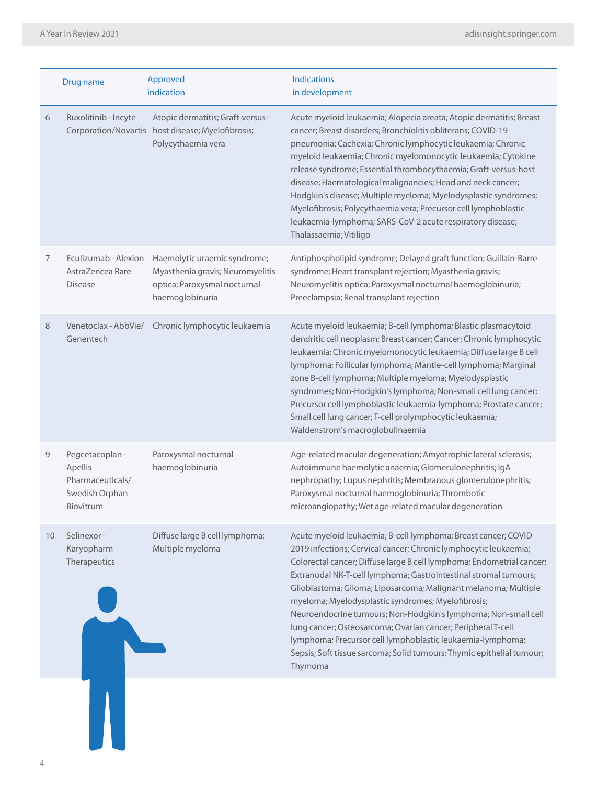|    | Drug name                                                                     | Approved<br>indication                                                                                              | <b>Indications</b><br>in development                                                                                                                                                                                                                                                                                                                                                                                                                                                                                                                                                                                                                                                         |
|----|-------------------------------------------------------------------------------|---------------------------------------------------------------------------------------------------------------------|----------------------------------------------------------------------------------------------------------------------------------------------------------------------------------------------------------------------------------------------------------------------------------------------------------------------------------------------------------------------------------------------------------------------------------------------------------------------------------------------------------------------------------------------------------------------------------------------------------------------------------------------------------------------------------------------|
| 6  | Ruxolitinib - Incyte<br>Corporation/Novartis                                  | Atopic dermatitis; Graft-versus-<br>host disease; Myelofibrosis;<br>Polycythaemia vera                              | Acute myeloid leukaemia; Alopecia areata; Atopic dermatitis; Breast<br>cancer; Breast disorders; Bronchiolitis obliterans; COVID-19<br>pneumonia; Cachexia; Chronic lymphocytic leukaemia; Chronic<br>myeloid leukaemia; Chronic myelomonocytic leukaemia; Cytokine<br>release syndrome; Essential thrombocythaemia; Graft-versus-host<br>disease; Haematological malignancies; Head and neck cancer;<br>Hodgkin's disease; Multiple myeloma; Myelodysplastic syndromes;<br>Myelofibrosis; Polycythaemia vera; Precursor cell lymphoblastic<br>leukaemia-lymphoma; SARS-CoV-2 acute respiratory disease;<br>Thalassaemia; Vitiligo                                                           |
| 7  | Eculizumab - Alexion<br>AstraZencea Rare<br><b>Disease</b>                    | Haemolytic uraemic syndrome;<br>Myasthenia gravis; Neuromyelitis<br>optica; Paroxysmal nocturnal<br>haemoglobinuria | Antiphospholipid syndrome; Delayed graft function; Guillain-Barre<br>syndrome; Heart transplant rejection; Myasthenia gravis;<br>Neuromyelitis optica; Paroxysmal nocturnal haemoglobinuria;<br>Preeclampsia; Renal transplant rejection                                                                                                                                                                                                                                                                                                                                                                                                                                                     |
| 8  | Venetoclax - AbbVie/<br>Genentech                                             | Chronic lymphocytic leukaemia                                                                                       | Acute myeloid leukaemia; B-cell lymphoma; Blastic plasmacytoid<br>dendritic cell neoplasm; Breast cancer; Cancer; Chronic lymphocytic<br>leukaemia; Chronic myelomonocytic leukaemia; Diffuse large B cell<br>lymphoma; Follicular lymphoma; Mantle-cell lymphoma; Marginal<br>zone B-cell lymphoma; Multiple myeloma; Myelodysplastic<br>syndromes; Non-Hodgkin's lymphoma; Non-small cell lung cancer;<br>Precursor cell lymphoblastic leukaemia-lymphoma; Prostate cancer;<br>Small cell lung cancer; T-cell prolymphocytic leukaemia;<br>Waldenstrom's macroglobulinaemia                                                                                                                |
| 9  | Pegcetacoplan -<br>Apellis<br>Pharmaceuticals/<br>Swedish Orphan<br>Biovitrum | Paroxysmal nocturnal<br>haemoglobinuria                                                                             | Age-related macular degeneration; Amyotrophic lateral sclerosis;<br>Autoimmune haemolytic anaemia; Glomerulonephritis; IgA<br>nephropathy; Lupus nephritis; Membranous glomerulonephritis;<br>Paroxysmal nocturnal haemoglobinuria; Thrombotic<br>microangiopathy; Wet age-related macular degeneration                                                                                                                                                                                                                                                                                                                                                                                      |
| 10 | Selinexor-<br>Karyopharm<br>Therapeutics                                      | Diffuse large B cell lymphoma;<br>Multiple myeloma                                                                  | Acute myeloid leukaemia; B-cell lymphoma; Breast cancer; COVID<br>2019 infections; Cervical cancer; Chronic lymphocytic leukaemia;<br>Colorectal cancer; Diffuse large B cell lymphoma; Endometrial cancer;<br>Extranodal NK-T-cell lymphoma; Gastrointestinal stromal tumours;<br>Glioblastoma; Glioma; Liposarcoma; Malignant melanoma; Multiple<br>myeloma; Myelodysplastic syndromes; Myelofibrosis;<br>Neuroendocrine tumours; Non-Hodgkin's lymphoma; Non-small cell<br>lung cancer; Osteosarcoma; Ovarian cancer; Peripheral T-cell<br>Iymphoma; Precursor cell lymphoblastic leukaemia-lymphoma;<br>Sepsis; Soft tissue sarcoma; Solid tumours; Thymic epithelial tumour;<br>Thymoma |
|    |                                                                               |                                                                                                                     |                                                                                                                                                                                                                                                                                                                                                                                                                                                                                                                                                                                                                                                                                              |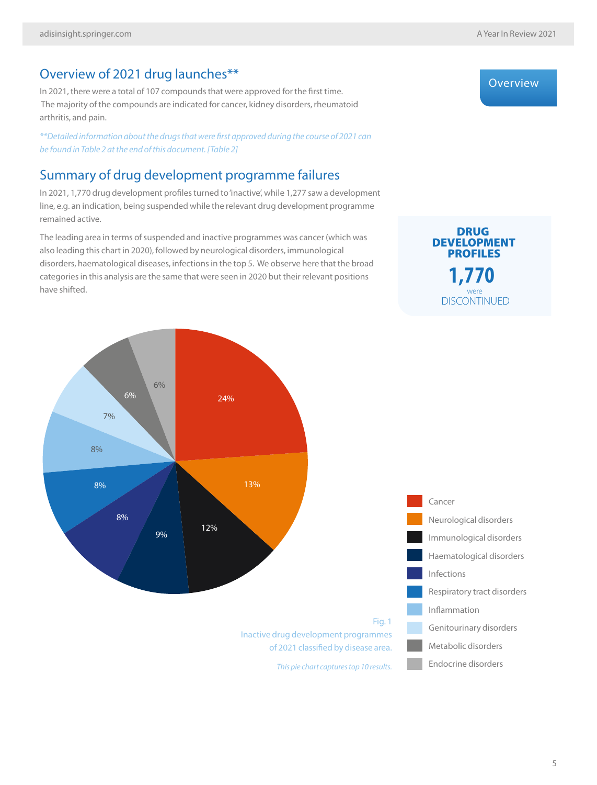**Overview** 

#### Overview of 2021 drug launches\*\*

In 2021, there were a total of 107 compounds that were approved for the first time. The majority of the compounds are indicated for cancer, kidney disorders, rheumatoid arthritis, and pain.

*\*\*Detailed information about the drugs that were first approved during the course of 2021 can be found in Table 2 at the end of this document. [Table 2]*

#### Summary of drug development programme failures

In 2021, 1,770 drug development profiles turned to 'inactive', while 1,277 saw a development line, e.g. an indication, being suspended while the relevant drug development programme remained active.

The leading area in terms of suspended and inactive programmes was cancer (which was also leading this chart in 2020), followed by neurological disorders, immunological disorders, haematological diseases, infections in the top 5. We observe here that the broad categories in this analysis are the same that were seen in 2020 but their relevant positions have shifted.

#### **DISCONTINUED** DRUG **1,770** were DEVELOPMENT PROFILES



*This pie chart captures top 10 results.*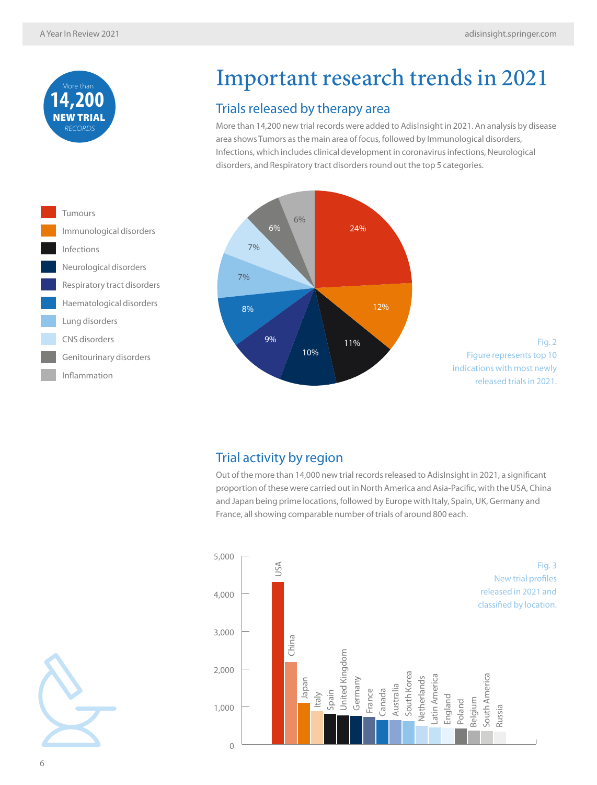

## Important research trends in 2021

#### Trials released by therapy area

More than 14,200 new trial records were added to AdisInsight in 2021. An analysis by disease area shows Tumors as the main area of focus, followed by Immunological disorders, Infections, which includes clinical development in coronavirus infections, Neurological disorders, and Respiratory tract disorders round out the top 5 categories.

12%



Fig. 2 Figure represents top 10 indications with most newly released trials in 2021.

#### Trial activity by region

Out of the more than 14,000 new trial records released to AdisInsight in 2021, a significant proportion of these were carried out in North America and Asia-Pacific, with the USA, China and Japan being prime locations, followed by Europe with Italy, Spain, UK, Germany and France, all showing comparable number of trials of around 800 each.